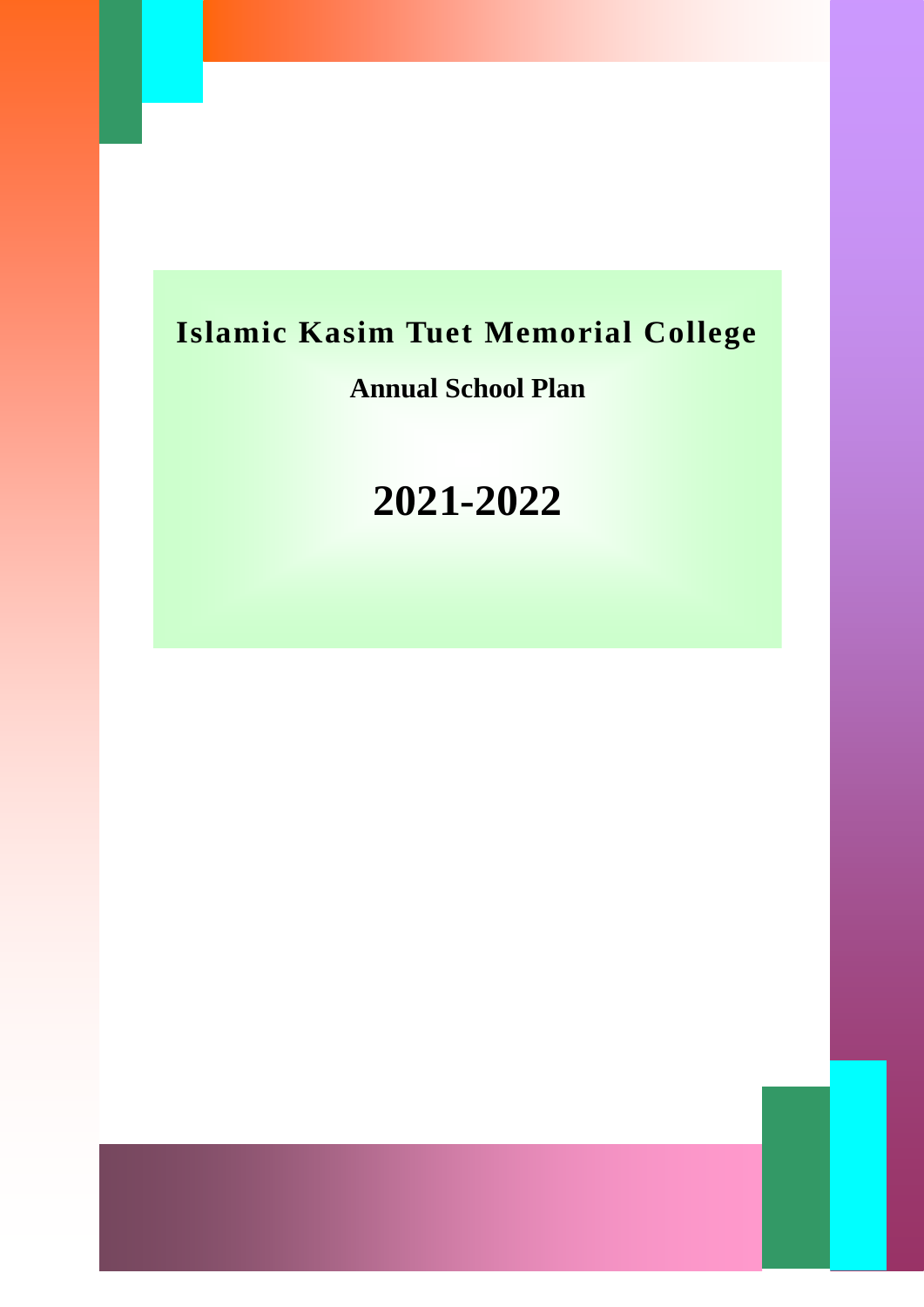# **Islamic Kasim Tuet Memorial College**

### **Annual School Plan**

# **2021-2022**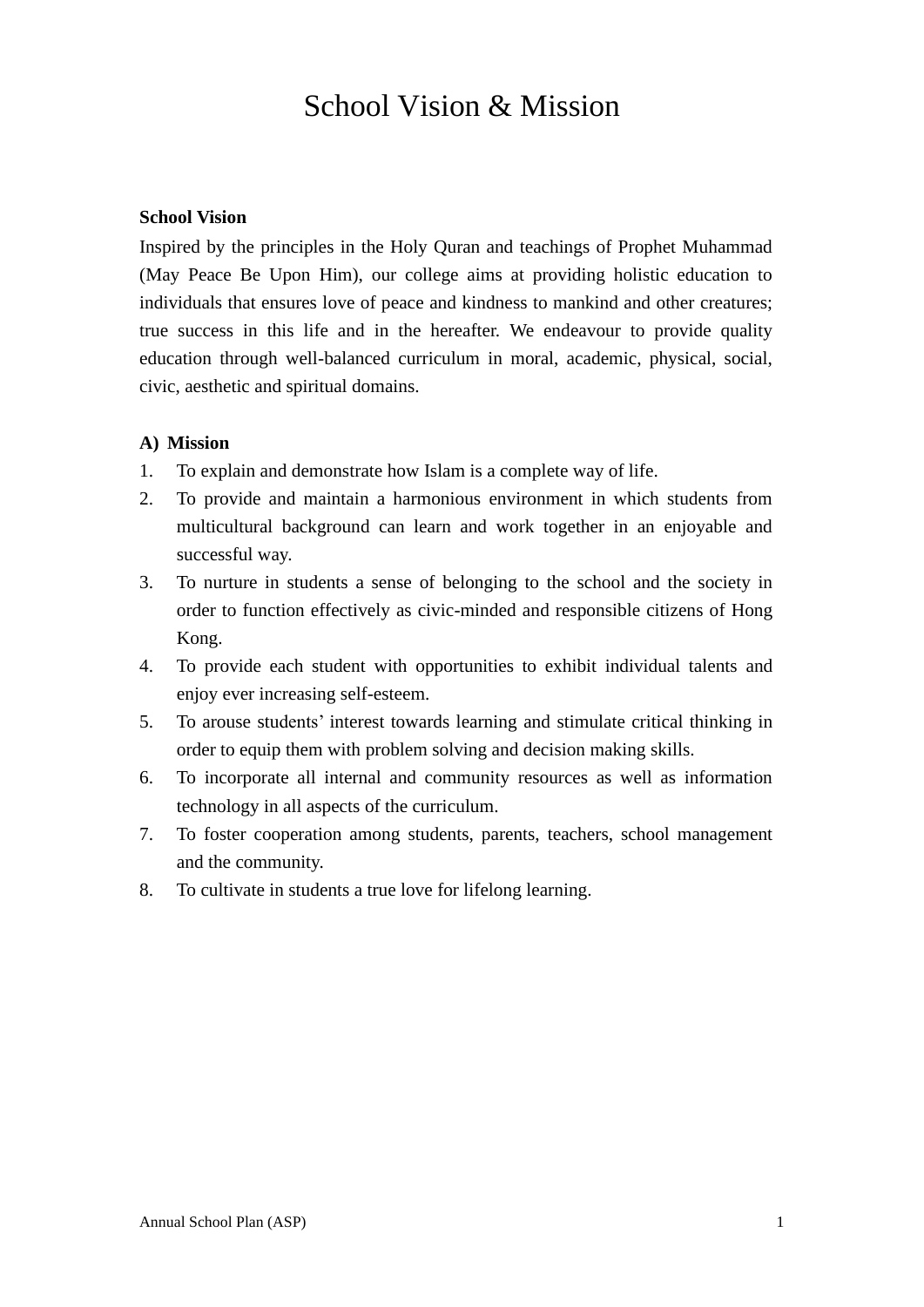### School Vision & Mission

#### **School Vision**

Inspired by the principles in the Holy Quran and teachings of Prophet Muhammad (May Peace Be Upon Him), our college aims at providing holistic education to individuals that ensures love of peace and kindness to mankind and other creatures; true success in this life and in the hereafter. We endeavour to provide quality education through well-balanced curriculum in moral, academic, physical, social, civic, aesthetic and spiritual domains.

#### **A) Mission**

- 1. To explain and demonstrate how Islam is a complete way of life.
- 2. To provide and maintain a harmonious environment in which students from multicultural background can learn and work together in an enjoyable and successful way.
- 3. To nurture in students a sense of belonging to the school and the society in order to function effectively as civic-minded and responsible citizens of Hong Kong.
- 4. To provide each student with opportunities to exhibit individual talents and enjoy ever increasing self-esteem.
- 5. To arouse students' interest towards learning and stimulate critical thinking in order to equip them with problem solving and decision making skills.
- 6. To incorporate all internal and community resources as well as information technology in all aspects of the curriculum.
- 7. To foster cooperation among students, parents, teachers, school management and the community.
- 8. To cultivate in students a true love for lifelong learning.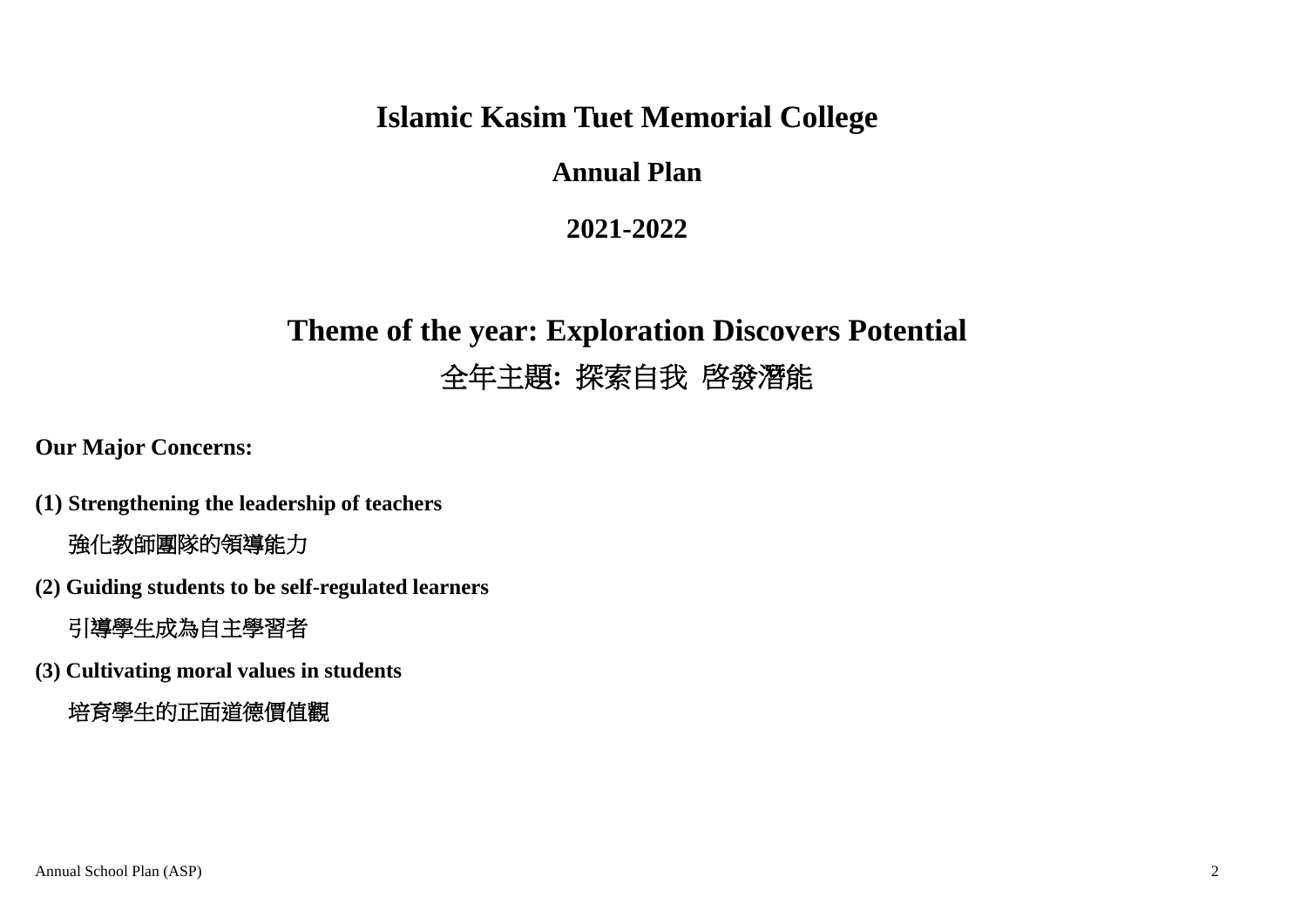### **Islamic Kasim Tuet Memorial College**

### **Annual Plan**

### **2021-2022**

# **Theme of the year: Exploration Discovers Potential** 全年主題**:** 探索自我 啓發潛能

**Our Major Concerns:**

- **(1) Strengthening the leadership of teachers**  強化教師團隊的領導能力
- **(2) Guiding students to be self-regulated learners**

引導學生成為自主學習者

**(3) Cultivating moral values in students**

培育學生的正面道德價值觀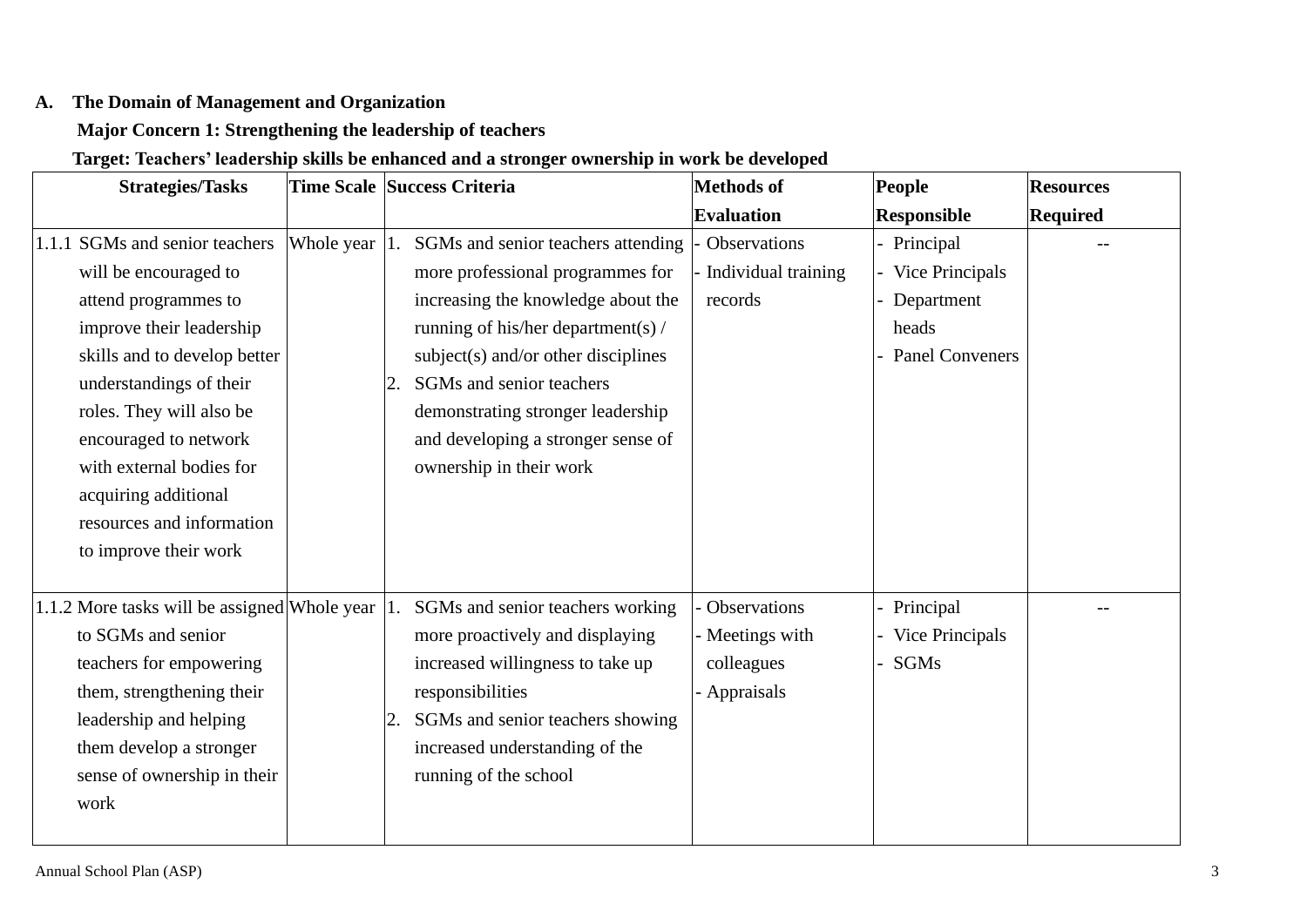#### **A. The Domain of Management and Organization**

#### **Major Concern 1: Strengthening the leadership of teachers**

### **Target: Teachers' leadership skills be enhanced and a stronger ownership in work be developed**

| <b>Strategies/Tasks</b>                      |            |    | Time Scale Success Criteria           | Methods of          | People                 | <b>Resources</b> |
|----------------------------------------------|------------|----|---------------------------------------|---------------------|------------------------|------------------|
|                                              |            |    |                                       | <b>Evaluation</b>   | <b>Responsible</b>     | <b>Required</b>  |
| 1.1.1 SGMs and senior teachers               | Whole year |    | SGMs and senior teachers attending    | Observations        | - Principal            |                  |
| will be encouraged to                        |            |    | more professional programmes for      | Individual training | Vice Principals        |                  |
| attend programmes to                         |            |    | increasing the knowledge about the    | records             | - Department           |                  |
| improve their leadership                     |            |    | running of his/her department(s) /    |                     | heads                  |                  |
| skills and to develop better                 |            |    | $subject(s)$ and/or other disciplines |                     | - Panel Conveners      |                  |
| understandings of their                      |            | 2. | SGMs and senior teachers              |                     |                        |                  |
| roles. They will also be                     |            |    | demonstrating stronger leadership     |                     |                        |                  |
| encouraged to network                        |            |    | and developing a stronger sense of    |                     |                        |                  |
| with external bodies for                     |            |    | ownership in their work               |                     |                        |                  |
| acquiring additional                         |            |    |                                       |                     |                        |                  |
| resources and information                    |            |    |                                       |                     |                        |                  |
| to improve their work                        |            |    |                                       |                     |                        |                  |
|                                              |            |    |                                       |                     |                        |                  |
| 1.1.2 More tasks will be assigned Whole year |            |    | SGMs and senior teachers working      | Observations        | - Principal            |                  |
| to SGMs and senior                           |            |    | more proactively and displaying       | - Meetings with     | <b>Vice Principals</b> |                  |
| teachers for empowering                      |            |    | increased willingness to take up      | colleagues          | SGMs                   |                  |
| them, strengthening their                    |            |    | responsibilities                      | Appraisals          |                        |                  |
| leadership and helping                       |            |    | SGMs and senior teachers showing      |                     |                        |                  |
| them develop a stronger                      |            |    | increased understanding of the        |                     |                        |                  |
| sense of ownership in their                  |            |    | running of the school                 |                     |                        |                  |
| work                                         |            |    |                                       |                     |                        |                  |
|                                              |            |    |                                       |                     |                        |                  |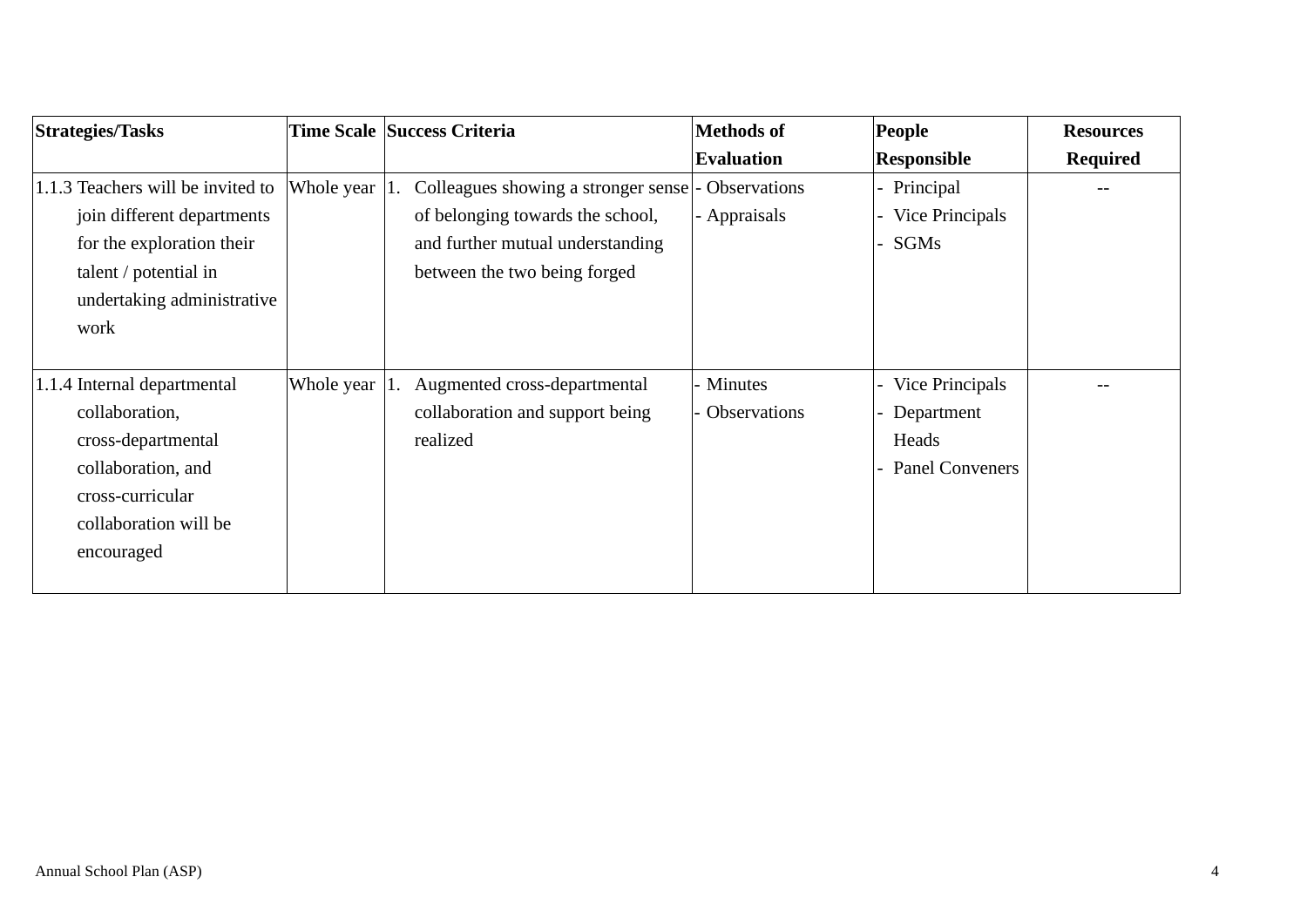| <b>Strategies/Tasks</b>           |            | Time Scale Success Criteria         | Methods of          | <b>People</b>     | <b>Resources</b> |
|-----------------------------------|------------|-------------------------------------|---------------------|-------------------|------------------|
|                                   |            |                                     | <b>Evaluation</b>   | Responsible       | <b>Required</b>  |
| 1.1.3 Teachers will be invited to | Whole year | Colleagues showing a stronger sense | <b>Observations</b> | - Principal       |                  |
| join different departments        |            | of belonging towards the school,    | - Appraisals        | Vice Principals   |                  |
| for the exploration their         |            | and further mutual understanding    |                     | SGMs              |                  |
| talent / potential in             |            | between the two being forged        |                     |                   |                  |
| undertaking administrative        |            |                                     |                     |                   |                  |
| work                              |            |                                     |                     |                   |                  |
|                                   |            |                                     |                     |                   |                  |
| 1.1.4 Internal departmental       | Whole year | Augmented cross-departmental        | - Minutes           | Vice Principals   |                  |
| collaboration,                    |            | collaboration and support being     | <b>Observations</b> | Department        |                  |
| cross-departmental                |            | realized                            |                     | Heads             |                  |
| collaboration, and                |            |                                     |                     | - Panel Conveners |                  |
| cross-curricular                  |            |                                     |                     |                   |                  |
| collaboration will be             |            |                                     |                     |                   |                  |
| encouraged                        |            |                                     |                     |                   |                  |
|                                   |            |                                     |                     |                   |                  |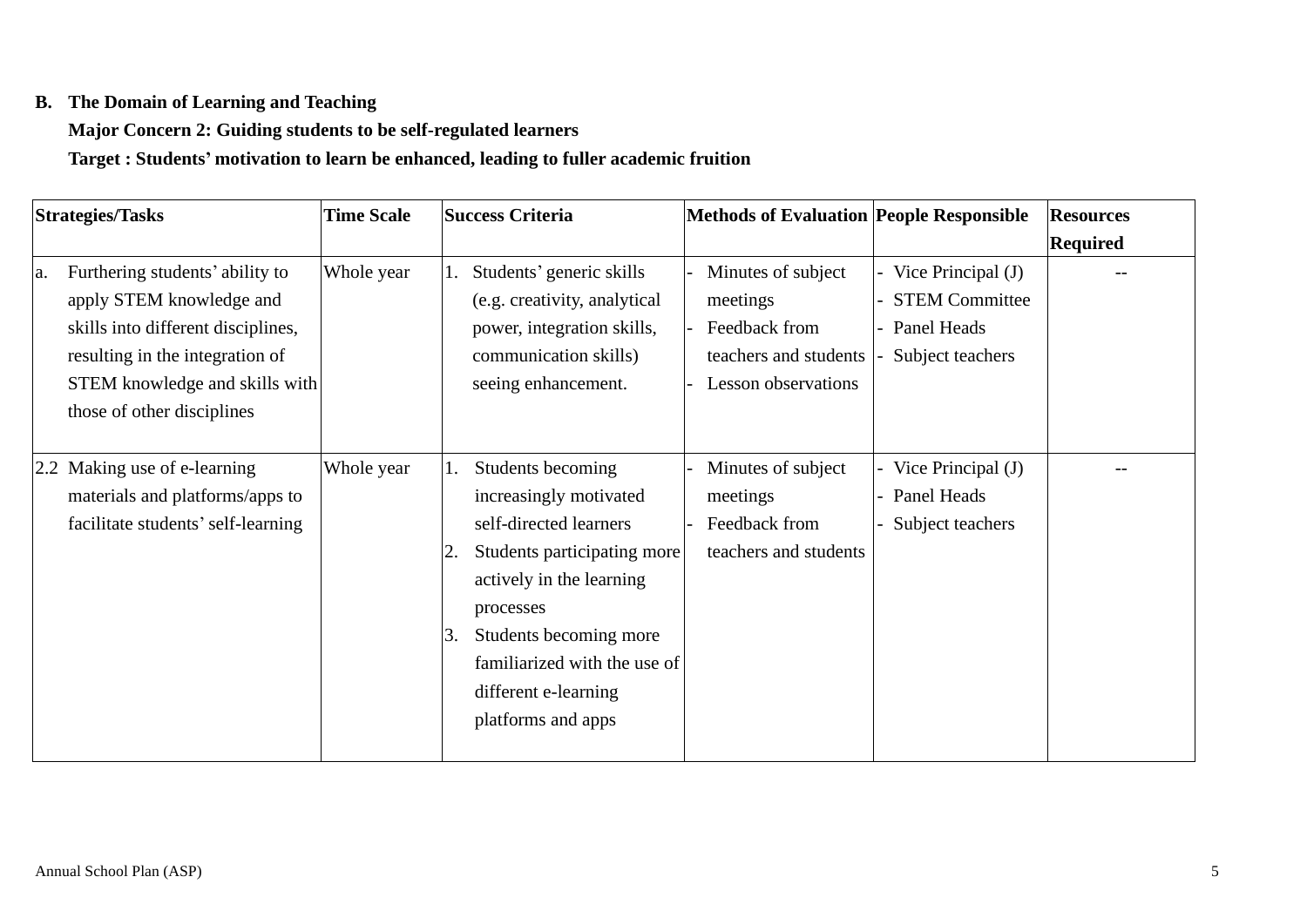#### **B. The Domain of Learning and Teaching**

### **Major Concern 2: Guiding students to be self-regulated learners**

**Target : Students' motivation to learn be enhanced, leading to fuller academic fruition** 

| <b>Strategies/Tasks</b>               | <b>Time Scale</b> |    | <b>Success Criteria</b>      | <b>Methods of Evaluation People Responsible</b> |                       | <b>Resources</b> |
|---------------------------------------|-------------------|----|------------------------------|-------------------------------------------------|-----------------------|------------------|
|                                       |                   |    |                              |                                                 |                       | Required         |
| Furthering students' ability to<br>a. | Whole year        | 1. | Students' generic skills     | Minutes of subject                              | Vice Principal (J)    |                  |
| apply STEM knowledge and              |                   |    | (e.g. creativity, analytical | meetings                                        | <b>STEM Committee</b> |                  |
| skills into different disciplines,    |                   |    | power, integration skills,   | Feedback from                                   | Panel Heads           |                  |
| resulting in the integration of       |                   |    | communication skills)        | teachers and students                           | Subject teachers      |                  |
| STEM knowledge and skills with        |                   |    | seeing enhancement.          | <b>Lesson</b> observations                      |                       |                  |
| those of other disciplines            |                   |    |                              |                                                 |                       |                  |
|                                       |                   |    |                              |                                                 |                       |                  |
| Making use of e-learning<br>2.2       | Whole year        | 1. | Students becoming            | Minutes of subject                              | - Vice Principal (J)  |                  |
| materials and platforms/apps to       |                   |    | increasingly motivated       | meetings                                        | Panel Heads           |                  |
| facilitate students' self-learning    |                   |    | self-directed learners       | Feedback from                                   | Subject teachers      |                  |
|                                       |                   |    | Students participating more  | teachers and students                           |                       |                  |
|                                       |                   |    | actively in the learning     |                                                 |                       |                  |
|                                       |                   |    | processes                    |                                                 |                       |                  |
|                                       |                   | 3. | Students becoming more       |                                                 |                       |                  |
|                                       |                   |    | familiarized with the use of |                                                 |                       |                  |
|                                       |                   |    | different e-learning         |                                                 |                       |                  |
|                                       |                   |    | platforms and apps           |                                                 |                       |                  |
|                                       |                   |    |                              |                                                 |                       |                  |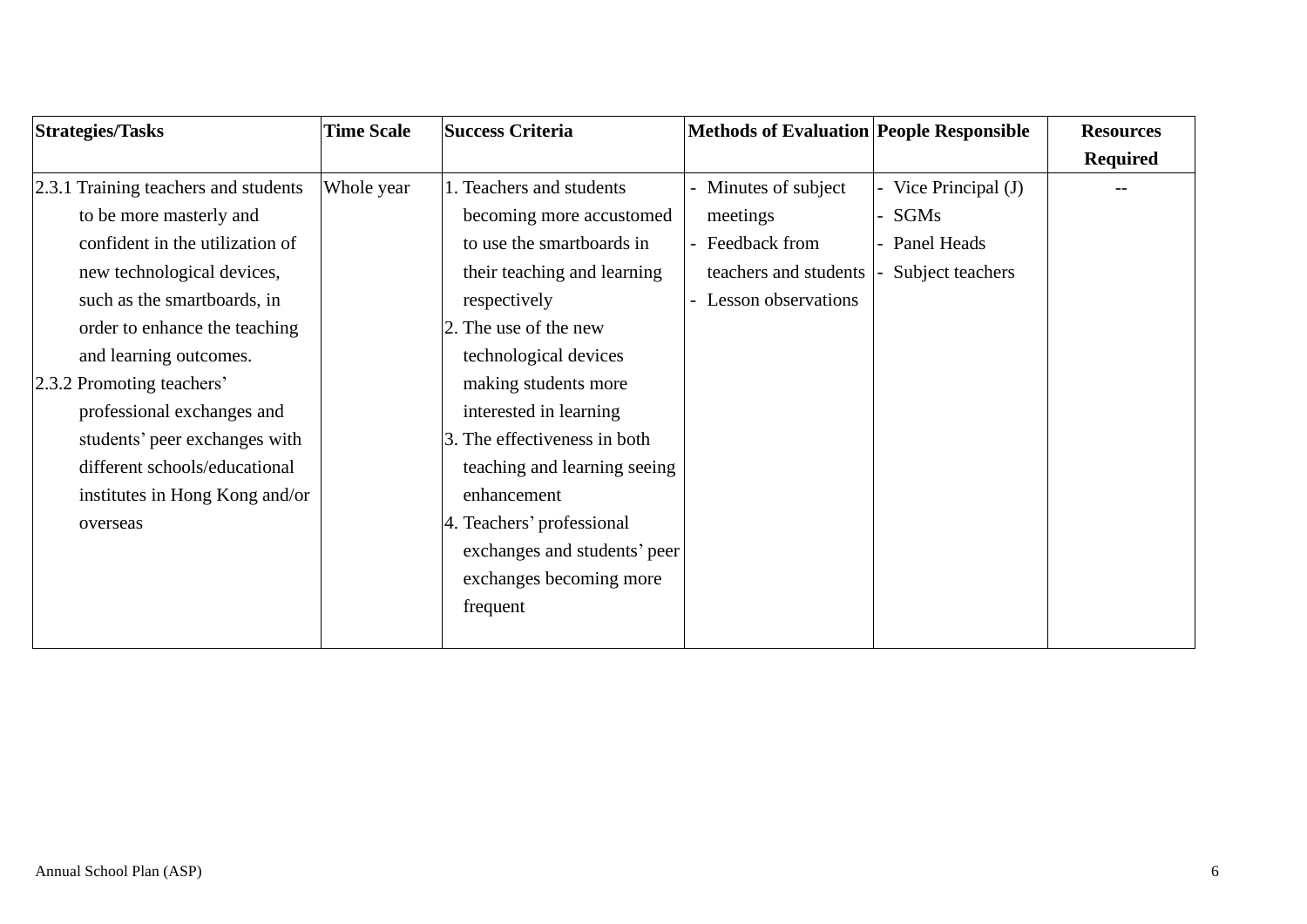| <b>Strategies/Tasks</b>              | <b>Time Scale</b> | <b>Success Criteria</b>      | <b>Methods of Evaluation People Responsible</b> |                    | <b>Resources</b> |
|--------------------------------------|-------------------|------------------------------|-------------------------------------------------|--------------------|------------------|
|                                      |                   |                              |                                                 |                    | <b>Required</b>  |
| 2.3.1 Training teachers and students | Whole year        | 1. Teachers and students     | - Minutes of subject                            | Vice Principal (J) |                  |
| to be more masterly and              |                   | becoming more accustomed     | meetings                                        | SGMs               |                  |
| confident in the utilization of      |                   | to use the smartboards in    | - Feedback from                                 | Panel Heads        |                  |
| new technological devices,           |                   | their teaching and learning  | teachers and students                           | Subject teachers   |                  |
| such as the smartboards, in          |                   | respectively                 | Lesson observations                             |                    |                  |
| order to enhance the teaching        |                   | 2. The use of the new        |                                                 |                    |                  |
| and learning outcomes.               |                   | technological devices        |                                                 |                    |                  |
| 2.3.2 Promoting teachers'            |                   | making students more         |                                                 |                    |                  |
| professional exchanges and           |                   | interested in learning       |                                                 |                    |                  |
| students' peer exchanges with        |                   | 3. The effectiveness in both |                                                 |                    |                  |
| different schools/educational        |                   | teaching and learning seeing |                                                 |                    |                  |
| institutes in Hong Kong and/or       |                   | enhancement                  |                                                 |                    |                  |
| overseas                             |                   | 4. Teachers' professional    |                                                 |                    |                  |
|                                      |                   | exchanges and students' peer |                                                 |                    |                  |
|                                      |                   | exchanges becoming more      |                                                 |                    |                  |
|                                      |                   | frequent                     |                                                 |                    |                  |
|                                      |                   |                              |                                                 |                    |                  |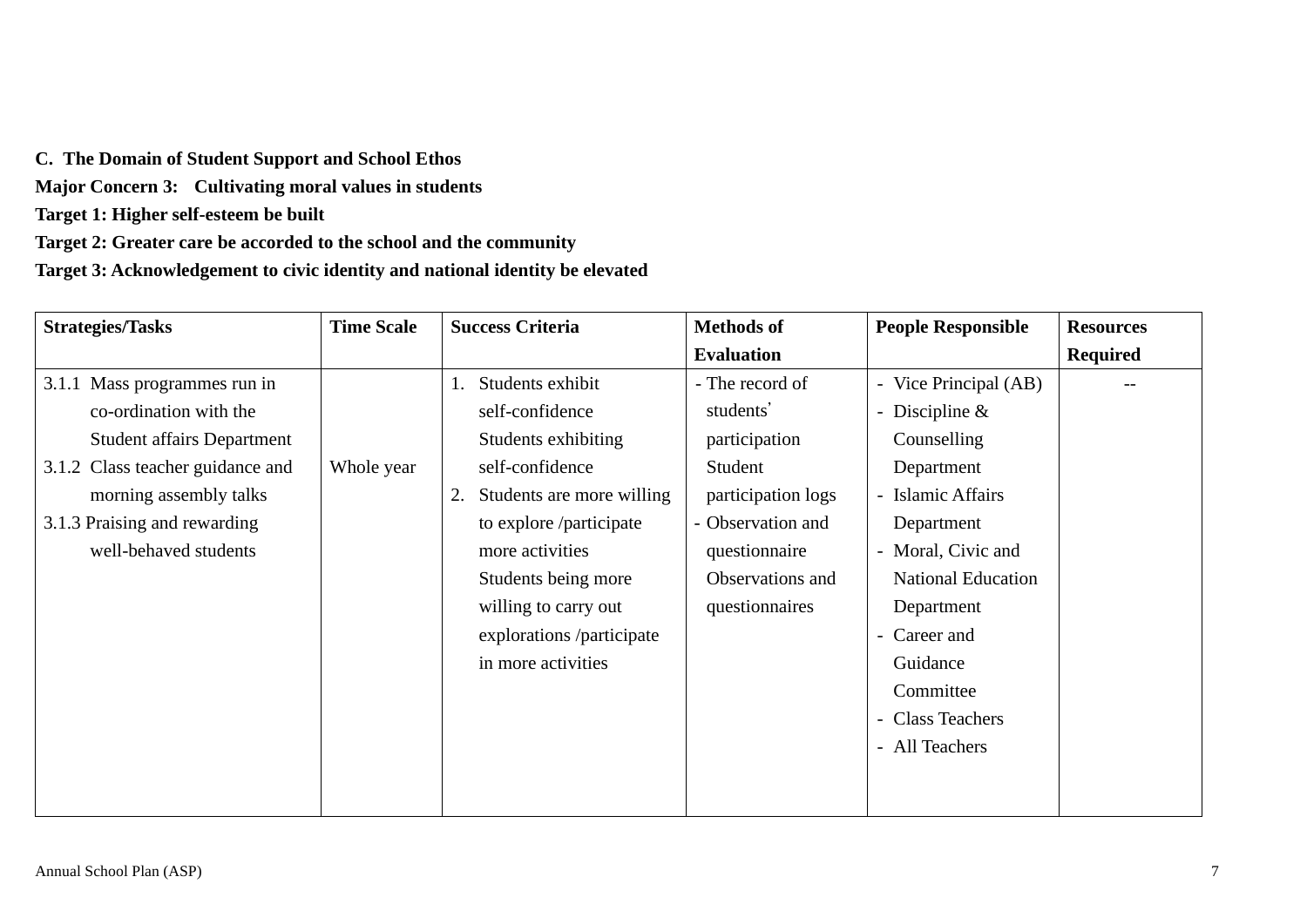**C. The Domain of Student Support and School Ethos** 

**Major Concern 3: Cultivating moral values in students**

**Target 1: Higher self-esteem be built** 

**Target 2: Greater care be accorded to the school and the community** 

**Target 3: Acknowledgement to civic identity and national identity be elevated** 

| <b>Strategies/Tasks</b>           | <b>Time Scale</b> | <b>Success Criteria</b>         | <b>Methods of</b>  | <b>People Responsible</b>               | <b>Resources</b> |
|-----------------------------------|-------------------|---------------------------------|--------------------|-----------------------------------------|------------------|
|                                   |                   |                                 | <b>Evaluation</b>  |                                         | <b>Required</b>  |
| 3.1.1 Mass programmes run in      |                   | Students exhibit                | - The record of    | - Vice Principal (AB)                   |                  |
| co-ordination with the            |                   | self-confidence                 | students'          | - Discipline $&$                        |                  |
| <b>Student affairs Department</b> |                   | Students exhibiting             | participation      | Counselling                             |                  |
| 3.1.2 Class teacher guidance and  | Whole year        | self-confidence                 | Student            | Department                              |                  |
| morning assembly talks            |                   | Students are more willing<br>2. | participation logs | - Islamic Affairs                       |                  |
| 3.1.3 Praising and rewarding      |                   | to explore /participate         | - Observation and  | Department                              |                  |
| well-behaved students             |                   | more activities                 | questionnaire      | - Moral, Civic and                      |                  |
|                                   |                   | Students being more             | Observations and   | <b>National Education</b>               |                  |
|                                   |                   | willing to carry out            | questionnaires     | Department                              |                  |
|                                   |                   | explorations /participate       |                    | - Career and                            |                  |
|                                   |                   | in more activities              |                    | Guidance                                |                  |
|                                   |                   |                                 |                    | Committee                               |                  |
|                                   |                   |                                 |                    | <b>Class Teachers</b><br>$\overline{a}$ |                  |
|                                   |                   |                                 |                    | - All Teachers                          |                  |
|                                   |                   |                                 |                    |                                         |                  |
|                                   |                   |                                 |                    |                                         |                  |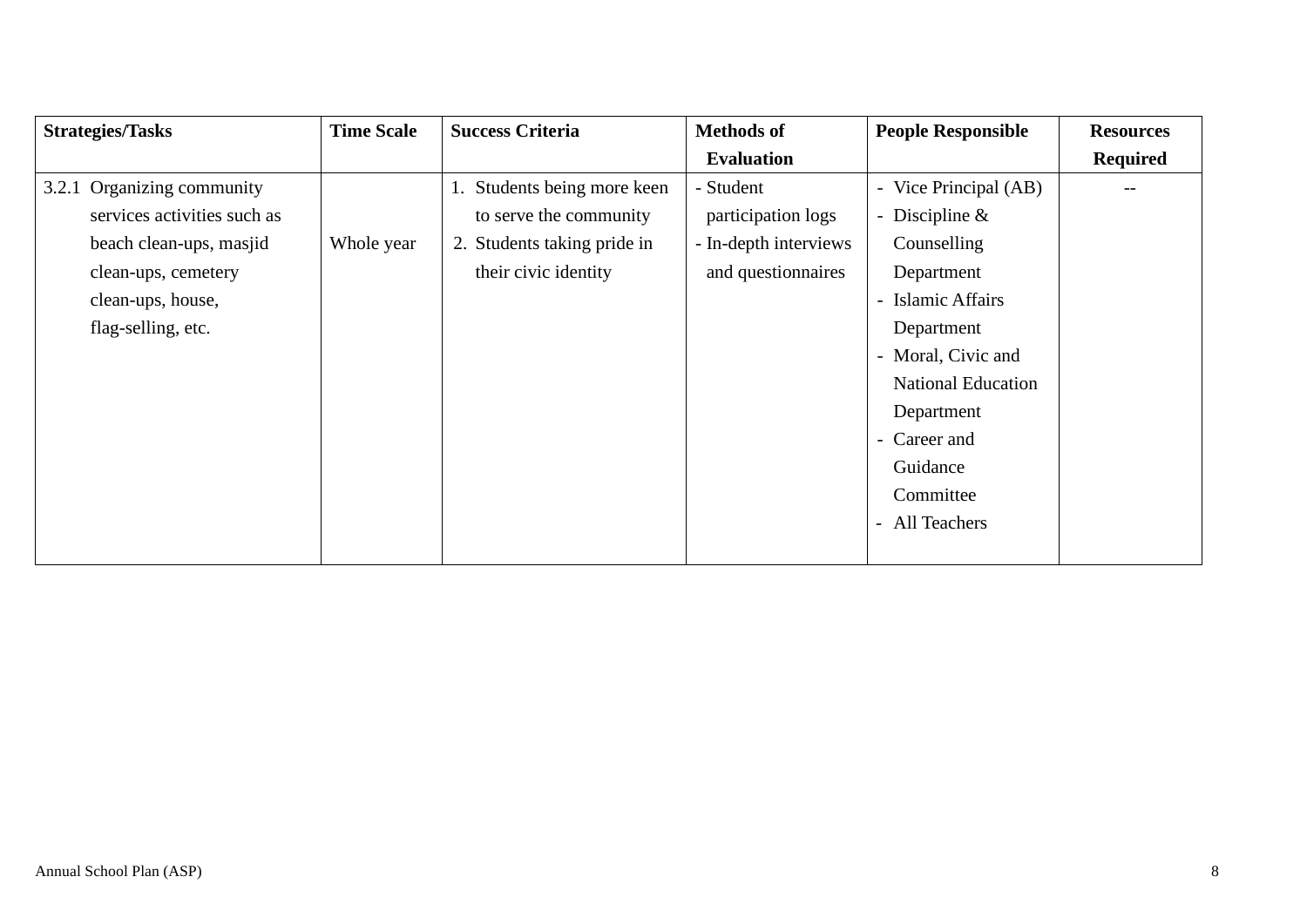| <b>Strategies/Tasks</b>     | <b>Time Scale</b> | <b>Success Criteria</b>     | <b>Methods of</b>     | <b>People Responsible</b> | <b>Resources</b> |
|-----------------------------|-------------------|-----------------------------|-----------------------|---------------------------|------------------|
|                             |                   |                             | <b>Evaluation</b>     |                           | <b>Required</b>  |
| 3.2.1 Organizing community  |                   | 1. Students being more keen | - Student             | - Vice Principal (AB)     |                  |
| services activities such as |                   | to serve the community      | participation logs    | - Discipline $&$          |                  |
| beach clean-ups, masjid     | Whole year        | 2. Students taking pride in | - In-depth interviews | Counselling               |                  |
| clean-ups, cemetery         |                   | their civic identity        | and questionnaires    | Department                |                  |
| clean-ups, house,           |                   |                             |                       | - Islamic Affairs         |                  |
| flag-selling, etc.          |                   |                             |                       | Department                |                  |
|                             |                   |                             |                       | - Moral, Civic and        |                  |
|                             |                   |                             |                       | <b>National Education</b> |                  |
|                             |                   |                             |                       | Department                |                  |
|                             |                   |                             |                       | - Career and              |                  |
|                             |                   |                             |                       | Guidance                  |                  |
|                             |                   |                             |                       | Committee                 |                  |
|                             |                   |                             |                       | - All Teachers            |                  |
|                             |                   |                             |                       |                           |                  |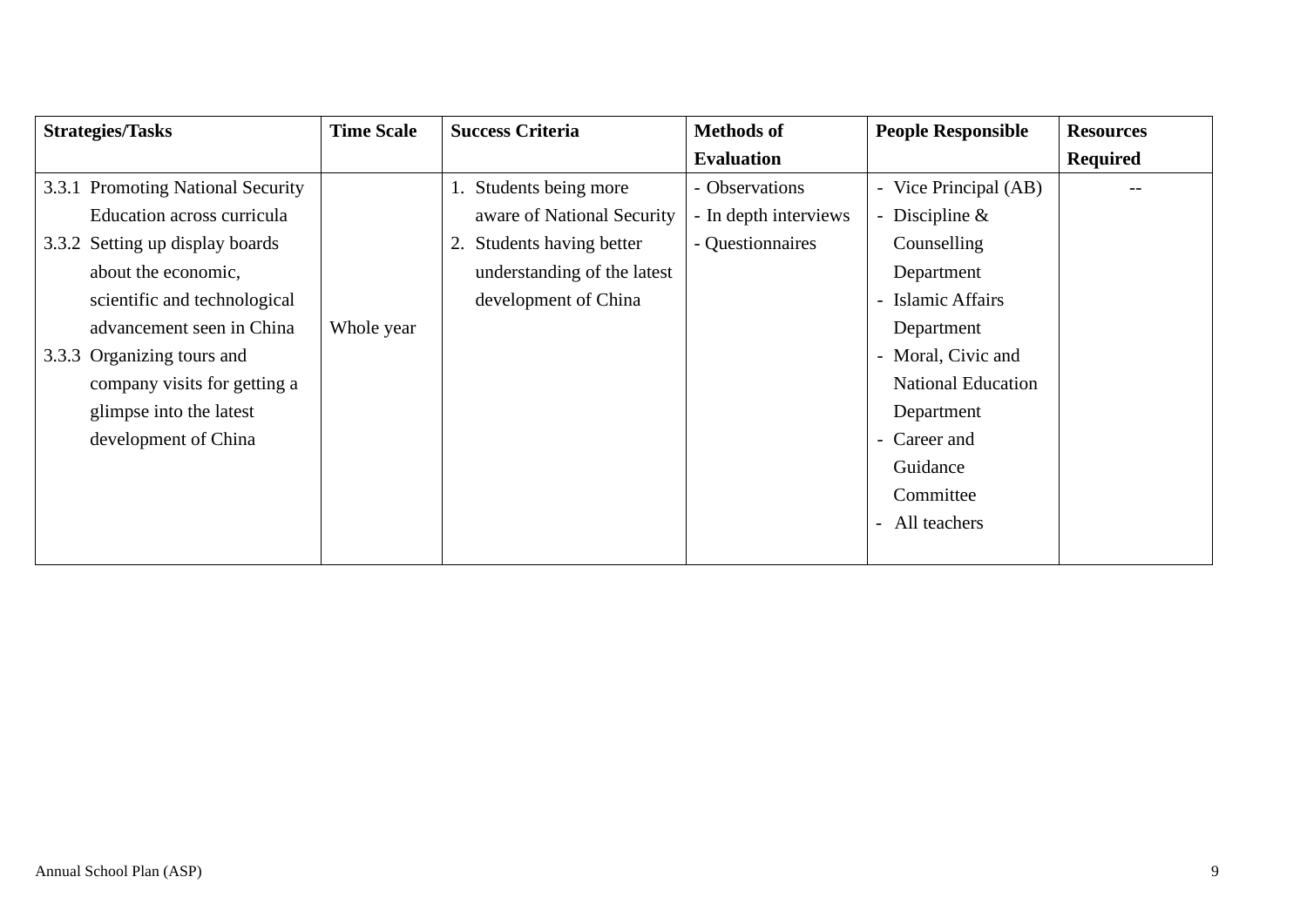| <b>Strategies/Tasks</b>           | <b>Time Scale</b> | <b>Success Criteria</b>     | <b>Methods of</b>     | <b>People Responsible</b>                       | <b>Resources</b> |
|-----------------------------------|-------------------|-----------------------------|-----------------------|-------------------------------------------------|------------------|
|                                   |                   |                             | <b>Evaluation</b>     |                                                 | <b>Required</b>  |
| 3.3.1 Promoting National Security |                   | 1. Students being more      | - Observations        | Vice Principal (AB)<br>$\overline{\phantom{0}}$ |                  |
| Education across curricula        |                   | aware of National Security  | - In depth interviews | Discipline $\&$<br>$\overline{\phantom{0}}$     |                  |
| 3.3.2 Setting up display boards   |                   | 2. Students having better   | - Questionnaires      | Counselling                                     |                  |
| about the economic,               |                   | understanding of the latest |                       | Department                                      |                  |
| scientific and technological      |                   | development of China        |                       | - Islamic Affairs                               |                  |
| advancement seen in China         | Whole year        |                             |                       | Department                                      |                  |
| 3.3.3 Organizing tours and        |                   |                             |                       | - Moral, Civic and                              |                  |
| company visits for getting a      |                   |                             |                       | <b>National Education</b>                       |                  |
| glimpse into the latest           |                   |                             |                       | Department                                      |                  |
| development of China              |                   |                             |                       | Career and<br>$\overline{\phantom{0}}$          |                  |
|                                   |                   |                             |                       | Guidance                                        |                  |
|                                   |                   |                             |                       | Committee                                       |                  |
|                                   |                   |                             |                       | All teachers<br>$\overline{\phantom{a}}$        |                  |
|                                   |                   |                             |                       |                                                 |                  |